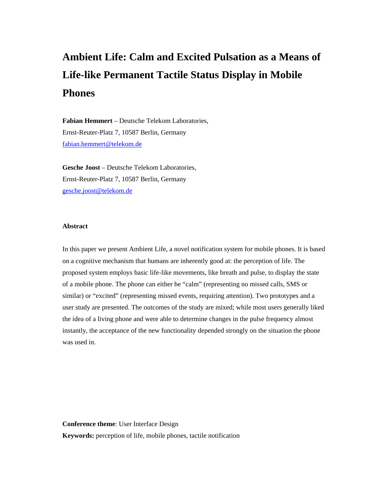# **Ambient Life: Calm and Excited Pulsation as a Means of Life-like Permanent Tactile Status Display in Mobile Phones**

**Fabian Hemmert** – Deutsche Telekom Laboratories, Ernst-Reuter-Platz 7, 10587 Berlin, Germany fabian.hemmert@telekom.de

**Gesche Joost** – Deutsche Telekom Laboratories, Ernst-Reuter-Platz 7, 10587 Berlin, Germany gesche.joost@telekom.de

## **Abstract**

In this paper we present Ambient Life, a novel notification system for mobile phones. It is based on a cognitive mechanism that humans are inherently good at: the perception of life. The proposed system employs basic life-like movements, like breath and pulse, to display the state of a mobile phone. The phone can either be "calm" (representing no missed calls, SMS or similar) or "excited" (representing missed events, requiring attention). Two prototypes and a user study are presented. The outcomes of the study are mixed; while most users generally liked the idea of a living phone and were able to determine changes in the pulse frequency almost instantly, the acceptance of the new functionality depended strongly on the situation the phone was used in.

**Conference theme**: User Interface Design **Keywords:** perception of life, mobile phones, tactile notification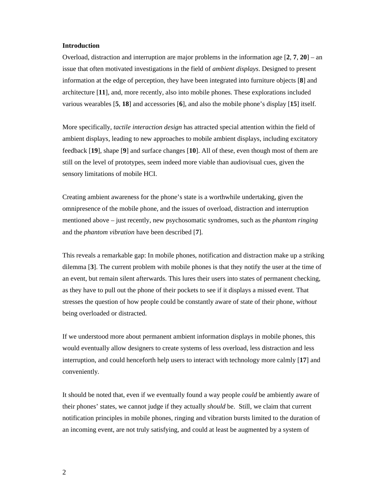## **Introduction**

Overload, distraction and interruption are major problems in the information age [**2**, **7**, **20**] – an issue that often motivated investigations in the field of *ambient displays*. Designed to present information at the edge of perception, they have been integrated into furniture objects [**8**] and architecture [**11**], and, more recently, also into mobile phones. These explorations included various wearables [**5**, **18**] and accessories [**6**], and also the mobile phone's display [**15**] itself.

More specifically, *tactile interaction design* has attracted special attention within the field of ambient displays, leading to new approaches to mobile ambient displays, including excitatory feedback [**19**], shape [**9**] and surface changes [**10**]. All of these, even though most of them are still on the level of prototypes, seem indeed more viable than audiovisual cues, given the sensory limitations of mobile HCI.

Creating ambient awareness for the phone's state is a worthwhile undertaking, given the omnipresence of the mobile phone, and the issues of overload, distraction and interruption mentioned above – just recently, new psychosomatic syndromes, such as the *phantom ringing* and the *phantom vibration* have been described [**7**].

This reveals a remarkable gap: In mobile phones, notification and distraction make up a striking dilemma [**3**]. The current problem with mobile phones is that they notify the user at the time of an event, but remain silent afterwards. This lures their users into states of permanent checking, as they have to pull out the phone of their pockets to see if it displays a missed event. That stresses the question of how people could be constantly aware of state of their phone, *without* being overloaded or distracted.

If we understood more about permanent ambient information displays in mobile phones, this would eventually allow designers to create systems of less overload, less distraction and less interruption, and could henceforth help users to interact with technology more calmly [**17**] and conveniently.

It should be noted that, even if we eventually found a way people *could* be ambiently aware of their phones' states, we cannot judge if they actually *should* be. Still, we claim that current notification principles in mobile phones, ringing and vibration bursts limited to the duration of an incoming event, are not truly satisfying, and could at least be augmented by a system of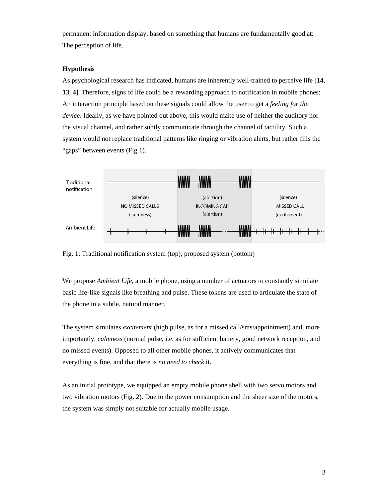permanent information display, based on something that humans are fundamentally good at: The perception of life.

# **Hypothesis**

As psychological research has indicated, humans are inherently well-trained to perceive life [**14**, **13**, **4**]. Therefore, signs of life could be a rewarding approach to notification in mobile phones: An interaction principle based on these signals could allow the user to get a *feeling for the device*. Ideally, as we have pointed out above, this would make use of neither the auditory nor the visual channel, and rather subtly communicate through the channel of tactility. Such a system would not replace traditional patterns like ringing or vibration alerts, but rather fills the "gaps" between events (Fig.1).



Fig. 1: Traditional notification system (top), proposed system (bottom)

We propose *Ambient Life*, a mobile phone, using a number of actuators to constantly simulate basic life-like signals like breathing and pulse. These tokens are used to articulate the state of the phone in a subtle, natural manner.

The system simulates *excitement* (high pulse, as for a missed call/sms/appointment) and, more importantly, *calmness* (normal pulse, i.e. as for sufficient battery, good network reception, and no missed events). Opposed to all other mobile phones, it actively communicates that everything is fine, and that there is *no need to check* it.

As an initial prototype, we equipped an empty mobile phone shell with two servo motors and two vibration motors (Fig. 2). Due to the power consumption and the sheer size of the motors, the system was simply not suitable for actually mobile usage.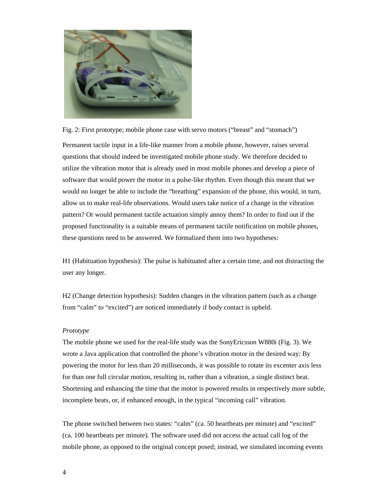

Fig. 2: First prototype; mobile phone case with servo motors ("breast" and "stomach")

Permanent tactile input in a life-like manner from a mobile phone, however, raises several questions that should indeed be investigated mobile phone study. We therefore decided to utilize the vibration motor that is already used in most mobile phones and develop a piece of software that would power the motor in a pulse-like rhythm. Even though this meant that we would no longer be able to include the "breathing" expansion of the phone, this would, in turn, allow us to make real-life observations. Would users take notice of a change in the vibration pattern? Or would permanent tactile actuation simply annoy them? In order to find out if the proposed functionality is a suitable means of permanent tactile notification on mobile phones, these questions need to be answered. We formalized them into two hypotheses:

H1 (Habituation hypothesis): The pulse is habituated after a certain time, and not distracting the user any longer.

H2 (Change detection hypothesis): Sudden changes in the vibration pattern (such as a change from "calm" to "excited") are noticed immediately if body contact is upheld.

## *Prototype*

The mobile phone we used for the real-life study was the SonyEricsson W880i (Fig. 3). We wrote a Java application that controlled the phone's vibration motor in the desired way: By powering the motor for less than 20 milliseconds, it was possible to rotate its excenter axis less for than one full circular motion, resulting in, rather than a vibration, a single distinct beat. Shortening and enhancing the time that the motor is powered results in respectively more subtle, incomplete beats, or, if enhanced enough, in the typical "incoming call" vibration.

The phone switched between two states: "calm" (ca. 50 heartbeats per minute) and "excited" (ca. 100 heartbeats per minute). The software used did not access the actual call log of the mobile phone, as opposed to the original concept posed; instead, we simulated incoming events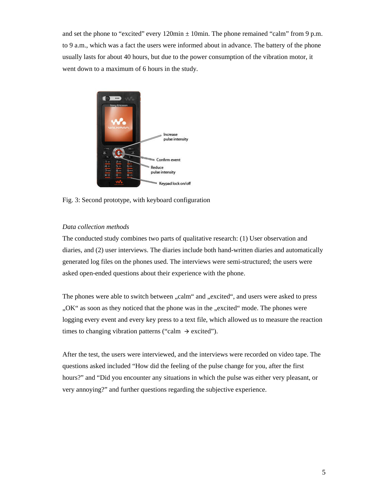and set the phone to "excited" every  $120\text{min} \pm 10\text{min}$ . The phone remained "calm" from 9 p.m. to 9 a.m., which was a fact the users were informed about in advance. The battery of the phone usually lasts for about 40 hours, but due to the power consumption of the vibration motor, it went down to a maximum of 6 hours in the study.



Fig. 3: Second prototype, with keyboard configuration

# *Data collection methods*

The conducted study combines two parts of qualitative research: (1) User observation and diaries, and (2) user interviews. The diaries include both hand-written diaries and automatically generated log files on the phones used. The interviews were semi-structured; the users were asked open-ended questions about their experience with the phone.

The phones were able to switch between "calm" and "excited", and users were asked to press "OK" as soon as they noticed that the phone was in the "excited" mode. The phones were logging every event and every key press to a text file, which allowed us to measure the reaction times to changing vibration patterns ("calm  $\rightarrow$  excited").

After the test, the users were interviewed, and the interviews were recorded on video tape. The questions asked included "How did the feeling of the pulse change for you, after the first hours?" and "Did you encounter any situations in which the pulse was either very pleasant, or very annoying?" and further questions regarding the subjective experience.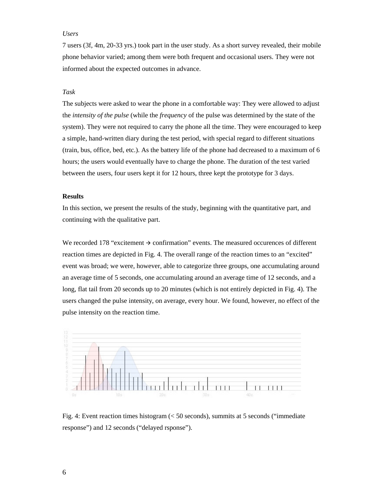## *Users*

7 users (3f, 4m, 20-33 yrs.) took part in the user study. As a short survey revealed, their mobile phone behavior varied; among them were both frequent and occasional users. They were not informed about the expected outcomes in advance.

#### *Task*

The subjects were asked to wear the phone in a comfortable way: They were allowed to adjust the *intensity of the pulse* (while the *frequency* of the pulse was determined by the state of the system). They were not required to carry the phone all the time. They were encouraged to keep a simple, hand-written diary during the test period, with special regard to different situations (train, bus, office, bed, etc.). As the battery life of the phone had decreased to a maximum of 6 hours; the users would eventually have to charge the phone. The duration of the test varied between the users, four users kept it for 12 hours, three kept the prototype for 3 days.

## **Results**

In this section, we present the results of the study, beginning with the quantitative part, and continuing with the qualitative part.

We recorded 178 "excitement  $\rightarrow$  confirmation" events. The measured occurences of different reaction times are depicted in Fig. 4. The overall range of the reaction times to an "excited" event was broad; we were, however, able to categorize three groups, one accumulating around an average time of 5 seconds, one accumulating around an average time of 12 seconds, and a long, flat tail from 20 seconds up to 20 minutes (which is not entirely depicted in Fig. 4). The users changed the pulse intensity, on average, every hour. We found, however, no effect of the pulse intensity on the reaction time.



Fig. 4: Event reaction times histogram (< 50 seconds), summits at 5 seconds ("immediate response") and 12 seconds ("delayed rsponse").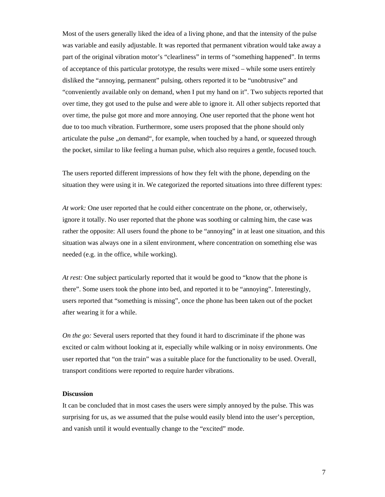Most of the users generally liked the idea of a living phone, and that the intensity of the pulse was variable and easily adjustable. It was reported that permanent vibration would take away a part of the original vibration motor's "clearliness" in terms of "something happened". In terms of acceptance of this particular prototype, the results were mixed – while some users entirely disliked the "annoying, permanent" pulsing, others reported it to be "unobtrusive" and "conveniently available only on demand, when I put my hand on it". Two subjects reported that over time, they got used to the pulse and were able to ignore it. All other subjects reported that over time, the pulse got more and more annoying. One user reported that the phone went hot due to too much vibration. Furthermore, some users proposed that the phone should only articulate the pulse "on demand", for example, when touched by a hand, or squeezed through the pocket, similar to like feeling a human pulse, which also requires a gentle, focused touch.

The users reported different impressions of how they felt with the phone, depending on the situation they were using it in. We categorized the reported situations into three different types:

*At work:* One user reported that he could either concentrate on the phone, or, otherwisely, ignore it totally. No user reported that the phone was soothing or calming him, the case was rather the opposite: All users found the phone to be "annoying" in at least one situation, and this situation was always one in a silent environment, where concentration on something else was needed (e.g. in the office, while working).

*At rest:* One subject particularly reported that it would be good to "know that the phone is there". Some users took the phone into bed, and reported it to be "annoying". Interestingly, users reported that "something is missing", once the phone has been taken out of the pocket after wearing it for a while.

*On the go:* Several users reported that they found it hard to discriminate if the phone was excited or calm without looking at it, especially while walking or in noisy environments. One user reported that "on the train" was a suitable place for the functionality to be used. Overall, transport conditions were reported to require harder vibrations.

## **Discussion**

It can be concluded that in most cases the users were simply annoyed by the pulse. This was surprising for us, as we assumed that the pulse would easily blend into the user's perception, and vanish until it would eventually change to the "excited" mode.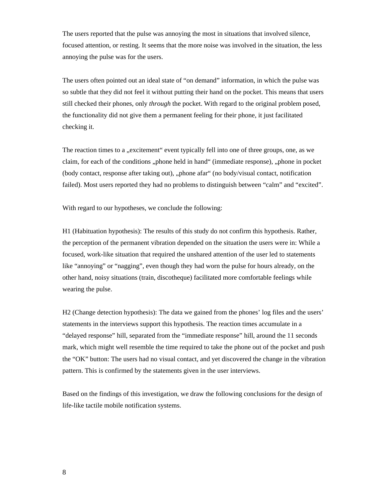The users reported that the pulse was annoying the most in situations that involved silence, focused attention, or resting. It seems that the more noise was involved in the situation, the less annoying the pulse was for the users.

The users often pointed out an ideal state of "on demand" information, in which the pulse was so subtle that they did not feel it without putting their hand on the pocket. This means that users still checked their phones, only *through* the pocket. With regard to the original problem posed, the functionality did not give them a permanent feeling for their phone, it just facilitated checking it.

The reaction times to a "excitement" event typically fell into one of three groups, one, as we claim, for each of the conditions "phone held in hand" (immediate response), "phone in pocket (body contact, response after taking out), "phone afar" (no body/visual contact, notification failed). Most users reported they had no problems to distinguish between "calm" and "excited".

With regard to our hypotheses, we conclude the following:

H1 (Habituation hypothesis): The results of this study do not confirm this hypothesis. Rather, the perception of the permanent vibration depended on the situation the users were in: While a focused, work-like situation that required the unshared attention of the user led to statements like "annoying" or "nagging", even though they had worn the pulse for hours already, on the other hand, noisy situations (train, discotheque) facilitated more comfortable feelings while wearing the pulse.

H2 (Change detection hypothesis): The data we gained from the phones' log files and the users' statements in the interviews support this hypothesis. The reaction times accumulate in a "delayed response" hill, separated from the "immediate response" hill, around the 11 seconds mark, which might well resemble the time required to take the phone out of the pocket and push the "OK" button: The users had no visual contact, and yet discovered the change in the vibration pattern. This is confirmed by the statements given in the user interviews.

Based on the findings of this investigation, we draw the following conclusions for the design of life-like tactile mobile notification systems.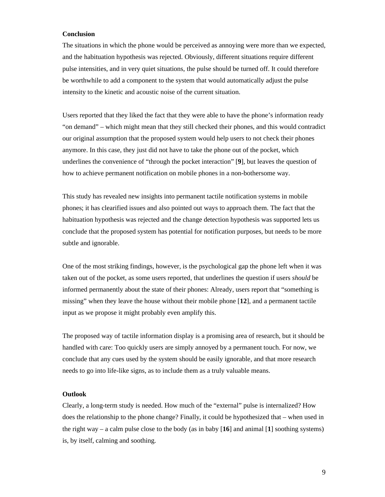## **Conclusion**

The situations in which the phone would be perceived as annoying were more than we expected, and the habituation hypothesis was rejected. Obviously, different situations require different pulse intensities, and in very quiet situations, the pulse should be turned off. It could therefore be worthwhile to add a component to the system that would automatically adjust the pulse intensity to the kinetic and acoustic noise of the current situation.

Users reported that they liked the fact that they were able to have the phone's information ready "on demand" – which might mean that they still checked their phones, and this would contradict our original assumption that the proposed system would help users to not check their phones anymore. In this case, they just did not have to take the phone out of the pocket, which underlines the convenience of "through the pocket interaction" [**9**], but leaves the question of how to achieve permanent notification on mobile phones in a non-bothersome way.

This study has revealed new insights into permanent tactile notification systems in mobile phones; it has clearified issues and also pointed out ways to approach them. The fact that the habituation hypothesis was rejected and the change detection hypothesis was supported lets us conclude that the proposed system has potential for notification purposes, but needs to be more subtle and ignorable.

One of the most striking findings, however, is the psychological gap the phone left when it was taken out of the pocket, as some users reported, that underlines the question if users *should* be informed permanently about the state of their phones: Already, users report that "something is missing" when they leave the house without their mobile phone [**12**], and a permanent tactile input as we propose it might probably even amplify this.

The proposed way of tactile information display is a promising area of research, but it should be handled with care: Too quickly users are simply annoyed by a permanent touch. For now, we conclude that any cues used by the system should be easily ignorable, and that more research needs to go into life-like signs, as to include them as a truly valuable means.

## **Outlook**

Clearly, a long-term study is needed. How much of the "external" pulse is internalized? How does the relationship to the phone change? Finally, it could be hypothesized that – when used in the right way – a calm pulse close to the body (as in baby  $[16]$  and animal  $[1]$  soothing systems) is, by itself, calming and soothing.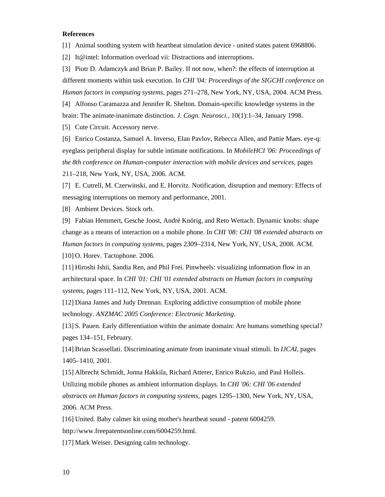# **References**

[1] Animal soothing system with heartbeat simulation device - united states patent 6968806.

[2] It@intel: Information overload vii: Distractions and interruptions.

[3] Piotr D. Adamczyk and Brian P. Bailey. If not now, when?: the effects of interruption at different moments within task execution. In *CHI '04: Proceedings of the SIGCHI conference on Human factors in computing systems*, pages 271–278, New York, NY, USA, 2004. ACM Press. [4] Alfonso Caramazza and Jennifer R. Shelton. Domain-specific knowledge systems in the

brain: The animate-inanimate distinction. *J. Cogn. Neurosci.*, 10(1):1–34, January 1998.

[5] Cute Circuit. Accessory nerve.

[6] Enrico Costanza, Samuel A. Inverso, Elan Pavlov, Rebecca Allen, and Pattie Maes. eye-q: eyeglass peripheral display for subtle intimate notifications. In *MobileHCI '06: Proceedings of the 8th conference on Human-computer interaction with mobile devices and services*, pages 211–218, New York, NY, USA, 2006. ACM.

[7] E. Cutrell, M. Czerwinski, and E. Horvitz. Notification, disruption and memory: Effects of messaging interruptions on memory and performance, 2001.

[8] Ambient Devices. Stock orb.

[9] Fabian Hemmert, Gesche Joost, André Knörig, and Reto Wettach. Dynamic knobs: shape change as a means of interaction on a mobile phone. In *CHI '08: CHI '08 extended abstracts on Human factors in computing systems*, pages 2309–2314, New York, NY, USA, 2008. ACM. [10] O. Horev. Tactophone. 2006.

[11] Hiroshi Ishii, Sandia Ren, and Phil Frei. Pinwheels: visualizing information flow in an architectural space. In *CHI '01: CHI '01 extended abstracts on Human factors in computing systems*, pages 111–112, New York, NY, USA, 2001. ACM.

[12] Diana James and Judy Drennan. Exploring addictive consumption of mobile phone technology. *ANZMAC 2005 Conference: Electronic Marketing*.

[13] S. Pauen. Early differentiation within the animate domain: Are humans something special? pages 134–151, February.

[14] Brian Scassellati. Discriminating animate from inanimate visual stimuli. In *IJCAI*, pages 1405–1410, 2001.

[15] Albrecht Schmidt, Jonna Hakkila, Richard Atterer, Enrico Rukzio, and Paul Holleis. Utilizing mobile phones as ambient information displays. In *CHI '06: CHI '06 extended abstracts on Human factors in computing systems*, pages 1295–1300, New York, NY, USA, 2006. ACM Press.

[16] United. Baby calmer kit using mother's heartbeat sound - patent 6004259.

http://www.freepatentsonline.com/6004259.html.

[17] Mark Weiser. Designing calm technology.